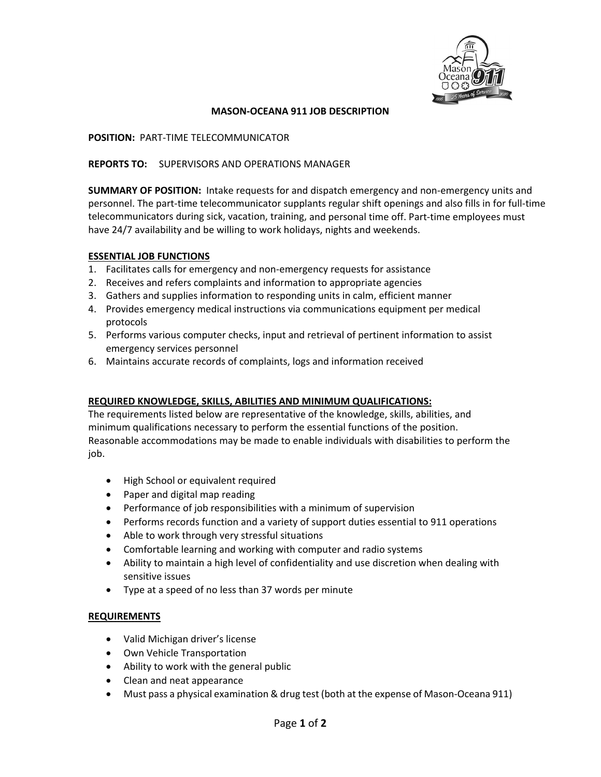

# **MASON‐OCEANA 911 JOB DESCRIPTION**

**POSITION:** PART‐TIME TELECOMMUNICATOR

# **REPORTS TO:** SUPERVISORS AND OPERATIONS MANAGER

**SUMMARY OF POSITION:** Intake requests for and dispatch emergency and non‐emergency units and personnel. The part‐time telecommunicator supplants regular shift openings and also fills in for full‐time telecommunicators during sick, vacation, training, and personal time off. Part-time employees must have 24/7 availability and be willing to work holidays, nights and weekends.

### **ESSENTIAL JOB FUNCTIONS**

- 1. Facilitates calls for emergency and non-emergency requests for assistance
- 2. Receives and refers complaints and information to appropriate agencies
- 3. Gathers and supplies information to responding units in calm, efficient manner
- 4. Provides emergency medical instructions via communications equipment per medical protocols
- 5. Performs various computer checks, input and retrieval of pertinent information to assist emergency services personnel
- 6. Maintains accurate records of complaints, logs and information received

# **REQUIRED KNOWLEDGE, SKILLS, ABILITIES AND MINIMUM QUALIFICATIONS:**

The requirements listed below are representative of the knowledge, skills, abilities, and minimum qualifications necessary to perform the essential functions of the position. Reasonable accommodations may be made to enable individuals with disabilities to perform the job.

- High School or equivalent required
- Paper and digital map reading
- Performance of job responsibilities with a minimum of supervision
- Performs records function and a variety of support duties essential to 911 operations
- Able to work through very stressful situations
- Comfortable learning and working with computer and radio systems
- Ability to maintain a high level of confidentiality and use discretion when dealing with sensitive issues
- Type at a speed of no less than 37 words per minute

# **REQUIREMENTS**

- Valid Michigan driver's license
- Own Vehicle Transportation
- Ability to work with the general public
- Clean and neat appearance
- Must pass a physical examination & drug test (both at the expense of Mason-Oceana 911)